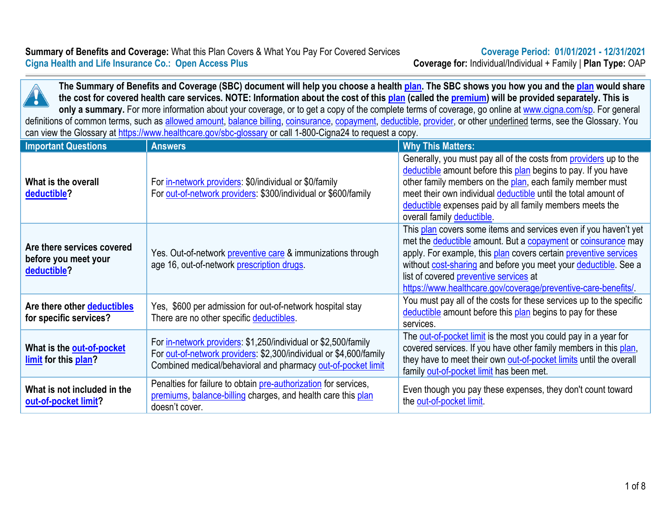

**The Summary of Benefits and Coverage (SBC) document will help you choose a health [plan.](https://www.healthcare.gov/sbc-glossary/#plan) The SBC shows you how you and the [plan](https://www.healthcare.gov/sbc-glossary/#plan) would share the cost for covered health care services. NOTE: Information about the cost of this [plan](https://www.healthcare.gov/sbc-glossary/#plan) (called the [premium](https://www.healthcare.gov/sbc-glossary/#premium)) will be provided separately. This is**  only a summary. For more information about your coverage, or to get a copy of the complete terms of coverage, go online at [www.cigna.com/sp.](http://www.cigna.com/sp) For general definitions of common terms, such as [allowed amount](https://www.healthcare.gov/sbc-glossary/#allowed-amount), [balance billing,](https://www.healthcare.gov/sbc-glossary/#balance-billing) [coinsurance](https://www.healthcare.gov/sbc-glossary/#coinsurance), [copayment](https://www.healthcare.gov/sbc-glossary/#copayment), [deductible](https://www.healthcare.gov/sbc-glossary/#deductible), [provider](https://www.healthcare.gov/sbc-glossary/#provider), or other underlined terms, see the Glossary. You can view the Glossary at <https://www.healthcare.gov/sbc-glossary>or call 1-800-Cigna24 to request a copy.

| <b>Important Questions</b>                                        | Van violi dio Oloobal ji al <u>https://www.noalthoalo.gov/obo gloobal ji</u> or ball i lovo Olghaz i to roquottia oopy.<br><b>Answers</b>                                                            | <b>Why This Matters:</b>                                                                                                                                                                                                                                                                                                                                                            |
|-------------------------------------------------------------------|------------------------------------------------------------------------------------------------------------------------------------------------------------------------------------------------------|-------------------------------------------------------------------------------------------------------------------------------------------------------------------------------------------------------------------------------------------------------------------------------------------------------------------------------------------------------------------------------------|
| What is the overall<br>deductible?                                | For in-network providers: \$0/individual or \$0/family<br>For out-of-network providers: \$300/individual or \$600/family                                                                             | Generally, you must pay all of the costs from providers up to the<br>deductible amount before this plan begins to pay. If you have<br>other family members on the plan, each family member must<br>meet their own individual deductible until the total amount of<br>deductible expenses paid by all family members meets the<br>overall family deductible.                         |
| Are there services covered<br>before you meet your<br>deductible? | Yes. Out-of-network preventive care & immunizations through<br>age 16, out-of-network prescription drugs.                                                                                            | This plan covers some items and services even if you haven't yet<br>met the deductible amount. But a copayment or coinsurance may<br>apply. For example, this plan covers certain preventive services<br>without cost-sharing and before you meet your deductible. See a<br>list of covered preventive services at<br>https://www.healthcare.gov/coverage/preventive-care-benefits/ |
| Are there other deductibles<br>for specific services?             | Yes, \$600 per admission for out-of-network hospital stay<br>There are no other specific deductibles.                                                                                                | You must pay all of the costs for these services up to the specific<br>deductible amount before this plan begins to pay for these<br>services.                                                                                                                                                                                                                                      |
| What is the out-of-pocket<br>limit for this plan?                 | For in-network providers: \$1,250/individual or \$2,500/family<br>For out-of-network providers: \$2,300/individual or \$4,600/family<br>Combined medical/behavioral and pharmacy out-of-pocket limit | The out-of-pocket limit is the most you could pay in a year for<br>covered services. If you have other family members in this plan,<br>they have to meet their own out-of-pocket limits until the overall<br>family out-of-pocket limit has been met.                                                                                                                               |
| What is not included in the<br>out-of-pocket limit?               | Penalties for failure to obtain <i>pre-authorization</i> for services,<br>premiums, balance-billing charges, and health care this plan<br>doesn't cover.                                             | Even though you pay these expenses, they don't count toward<br>the out-of-pocket limit.                                                                                                                                                                                                                                                                                             |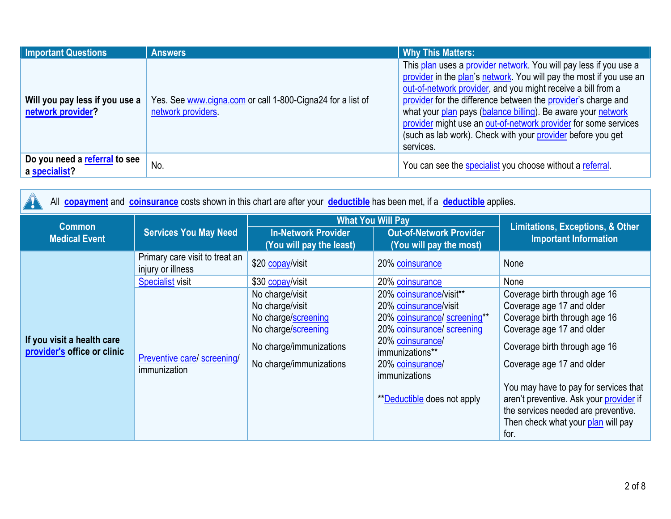| <b>Important Questions</b>                          | <b>Answers</b>                                                                   | <b>Why This Matters:</b>                                                                                                                                                                                                                                                                                                                                                                                                                                                                 |
|-----------------------------------------------------|----------------------------------------------------------------------------------|------------------------------------------------------------------------------------------------------------------------------------------------------------------------------------------------------------------------------------------------------------------------------------------------------------------------------------------------------------------------------------------------------------------------------------------------------------------------------------------|
| Will you pay less if you use a<br>network provider? | Yes. See www.cigna.com or call 1-800-Cigna24 for a list of<br>network providers. | This plan uses a provider network. You will pay less if you use a<br>provider in the plan's network. You will pay the most if you use an<br>out-of-network provider, and you might receive a bill from a<br>provider for the difference between the provider's charge and<br>what your plan pays (balance billing). Be aware your network<br>provider might use an out-of-network provider for some services<br>(such as lab work). Check with your provider before you get<br>services. |
| Do you need a referral to see<br>a specialist?      | No.                                                                              | You can see the specialist you choose without a referral.                                                                                                                                                                                                                                                                                                                                                                                                                                |

| All copayment and coinsurance costs shown in this chart are after your deductible has been met, if a deductible applies. |                                                     |                                                                                                                                        |                                                                                                                                                                                                                                  |                                                                                                                                                                                                                                                                                                                                                                 |                              |
|--------------------------------------------------------------------------------------------------------------------------|-----------------------------------------------------|----------------------------------------------------------------------------------------------------------------------------------------|----------------------------------------------------------------------------------------------------------------------------------------------------------------------------------------------------------------------------------|-----------------------------------------------------------------------------------------------------------------------------------------------------------------------------------------------------------------------------------------------------------------------------------------------------------------------------------------------------------------|------------------------------|
| <b>Common</b>                                                                                                            |                                                     | <b>What You Will Pay</b>                                                                                                               |                                                                                                                                                                                                                                  | <b>Limitations, Exceptions, &amp; Other</b>                                                                                                                                                                                                                                                                                                                     |                              |
| <b>Medical Event</b>                                                                                                     |                                                     | <b>Services You May Need</b>                                                                                                           | <b>In-Network Provider</b><br>(You will pay the least)                                                                                                                                                                           | <b>Out-of-Network Provider</b><br>(You will pay the most)                                                                                                                                                                                                                                                                                                       | <b>Important Information</b> |
|                                                                                                                          | Primary care visit to treat an<br>injury or illness | \$20 copay/visit                                                                                                                       | 20% coinsurance                                                                                                                                                                                                                  | None                                                                                                                                                                                                                                                                                                                                                            |                              |
|                                                                                                                          | <b>Specialist visit</b>                             | \$30 copay/visit                                                                                                                       | 20% coinsurance                                                                                                                                                                                                                  | None                                                                                                                                                                                                                                                                                                                                                            |                              |
| If you visit a health care<br>provider's office or clinic                                                                | Preventive care/ screening/<br>immunization         | No charge/visit<br>No charge/visit<br>No charge/screening<br>No charge/screening<br>No charge/immunizations<br>No charge/immunizations | 20% coinsurance/visit**<br>20% coinsurance/visit<br>20% coinsurance/ screening**<br>20% coinsurance/ screening<br>20% coinsurance/<br>immunizations**<br>20% coinsurance/<br>immunizations<br><b>**Deductible does not apply</b> | Coverage birth through age 16<br>Coverage age 17 and older<br>Coverage birth through age 16<br>Coverage age 17 and older<br>Coverage birth through age 16<br>Coverage age 17 and older<br>You may have to pay for services that<br>aren't preventive. Ask your provider if<br>the services needed are preventive.<br>Then check what your plan will pay<br>for. |                              |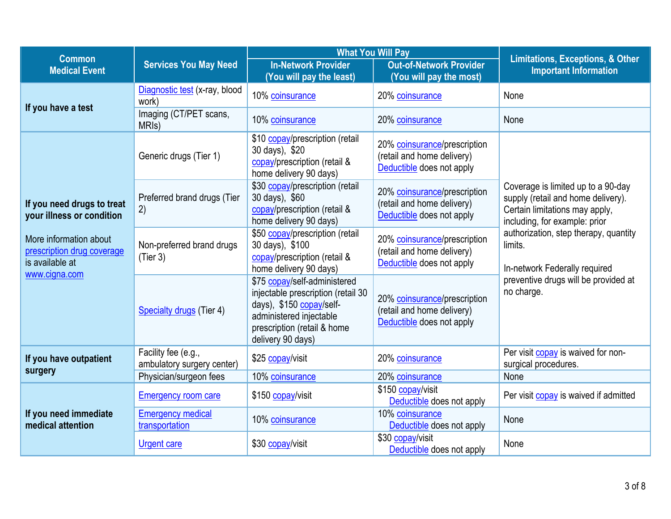| <b>Common</b>                                                                            |                                                   | <b>What You Will Pay</b>                                                                                                                                                      |                                                                                         |                                                                                                                                             |  |
|------------------------------------------------------------------------------------------|---------------------------------------------------|-------------------------------------------------------------------------------------------------------------------------------------------------------------------------------|-----------------------------------------------------------------------------------------|---------------------------------------------------------------------------------------------------------------------------------------------|--|
| <b>Medical Event</b>                                                                     | <b>Services You May Need</b>                      | <b>In-Network Provider</b><br>(You will pay the least)                                                                                                                        | <b>Out-of-Network Provider</b><br>(You will pay the most)                               | <b>Limitations, Exceptions, &amp; Other</b><br><b>Important Information</b>                                                                 |  |
| If you have a test                                                                       | Diagnostic test (x-ray, blood<br>work)            | 10% coinsurance                                                                                                                                                               | 20% coinsurance                                                                         | None                                                                                                                                        |  |
|                                                                                          | Imaging (CT/PET scans,<br>MRI <sub>s</sub> )      | 10% coinsurance                                                                                                                                                               | 20% coinsurance                                                                         | None                                                                                                                                        |  |
|                                                                                          | Generic drugs (Tier 1)                            | \$10 copay/prescription (retail<br>30 days), \$20<br>copay/prescription (retail &<br>home delivery 90 days)                                                                   | 20% coinsurance/prescription<br>(retail and home delivery)<br>Deductible does not apply |                                                                                                                                             |  |
| If you need drugs to treat<br>your illness or condition                                  | Preferred brand drugs (Tier<br>2)                 | \$30 copay/prescription (retail<br>30 days), \$60<br>copay/prescription (retail &<br>home delivery 90 days)                                                                   | 20% coinsurance/prescription<br>(retail and home delivery)<br>Deductible does not apply | Coverage is limited up to a 90-day<br>supply (retail and home delivery).<br>Certain limitations may apply,<br>including, for example: prior |  |
| More information about<br>prescription drug coverage<br>is available at<br>www.cigna.com | Non-preferred brand drugs<br>(Tier 3)             | \$50 copay/prescription (retail<br>30 days), \$100<br>copay/prescription (retail &<br>home delivery 90 days)                                                                  | 20% coinsurance/prescription<br>(retail and home delivery)<br>Deductible does not apply | authorization, step therapy, quantity<br>limits.<br>In-network Federally required                                                           |  |
|                                                                                          | Specialty drugs (Tier 4)                          | \$75 copay/self-administered<br>injectable prescription (retail 30<br>days), \$150 copay/self-<br>administered injectable<br>prescription (retail & home<br>delivery 90 days) | 20% coinsurance/prescription<br>(retail and home delivery)<br>Deductible does not apply | preventive drugs will be provided at<br>no charge.                                                                                          |  |
| If you have outpatient<br>surgery                                                        | Facility fee (e.g.,<br>ambulatory surgery center) | \$25 copay/visit                                                                                                                                                              | 20% coinsurance                                                                         | Per visit copay is waived for non-<br>surgical procedures.                                                                                  |  |
|                                                                                          | Physician/surgeon fees                            | 10% coinsurance                                                                                                                                                               | 20% coinsurance                                                                         | None                                                                                                                                        |  |
|                                                                                          | <b>Emergency room care</b>                        | \$150 copay/visit                                                                                                                                                             | \$150 copay/visit<br>Deductible does not apply                                          | Per visit copay is waived if admitted                                                                                                       |  |
| If you need immediate<br>medical attention                                               | <b>Emergency medical</b><br>transportation        | 10% coinsurance                                                                                                                                                               | 10% coinsurance<br>Deductible does not apply                                            | None                                                                                                                                        |  |
|                                                                                          | <b>Urgent care</b>                                | \$30 copay/visit                                                                                                                                                              | \$30 copay/visit<br>Deductible does not apply                                           | None                                                                                                                                        |  |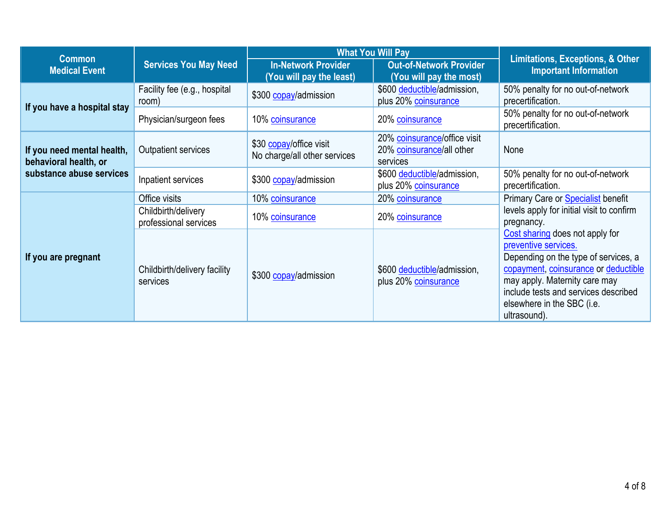| <b>Common</b>                                                                   |                                              | <b>What You Will Pay</b>                                |                                                                       | <b>Limitations, Exceptions, &amp; Other</b>                                                                                                                                                                                                                    |
|---------------------------------------------------------------------------------|----------------------------------------------|---------------------------------------------------------|-----------------------------------------------------------------------|----------------------------------------------------------------------------------------------------------------------------------------------------------------------------------------------------------------------------------------------------------------|
| <b>Medical Event</b>                                                            | <b>Services You May Need</b>                 | <b>In-Network Provider</b><br>(You will pay the least)  | <b>Out-of-Network Provider</b><br>(You will pay the most)             | <b>Important Information</b>                                                                                                                                                                                                                                   |
|                                                                                 | Facility fee (e.g., hospital<br>room)        | \$300 copay/admission                                   | \$600 deductible/admission,<br>plus 20% coinsurance                   | 50% penalty for no out-of-network<br>precertification.                                                                                                                                                                                                         |
| If you have a hospital stay                                                     | Physician/surgeon fees                       | 10% coinsurance                                         | 20% coinsurance                                                       | 50% penalty for no out-of-network<br>precertification.                                                                                                                                                                                                         |
| If you need mental health,<br>behavioral health, or<br>substance abuse services | Outpatient services                          | \$30 copay/office visit<br>No charge/all other services | 20% coinsurance/office visit<br>20% coinsurance/all other<br>services | None                                                                                                                                                                                                                                                           |
|                                                                                 | Inpatient services                           | \$300 copay/admission                                   | \$600 deductible/admission,<br>plus 20% coinsurance                   | 50% penalty for no out-of-network<br>precertification.                                                                                                                                                                                                         |
| If you are pregnant                                                             | Office visits                                | 10% coinsurance                                         | 20% coinsurance                                                       | Primary Care or <b>Specialist</b> benefit<br>levels apply for initial visit to confirm<br>pregnancy.                                                                                                                                                           |
|                                                                                 | Childbirth/delivery<br>professional services | 10% coinsurance                                         | 20% coinsurance                                                       |                                                                                                                                                                                                                                                                |
|                                                                                 | Childbirth/delivery facility<br>services     | \$300 copay/admission                                   | \$600 deductible/admission,<br>plus 20% coinsurance                   | Cost sharing does not apply for<br>preventive services.<br>Depending on the type of services, a<br>copayment, coinsurance or deductible<br>may apply. Maternity care may<br>include tests and services described<br>elsewhere in the SBC (i.e.<br>ultrasound). |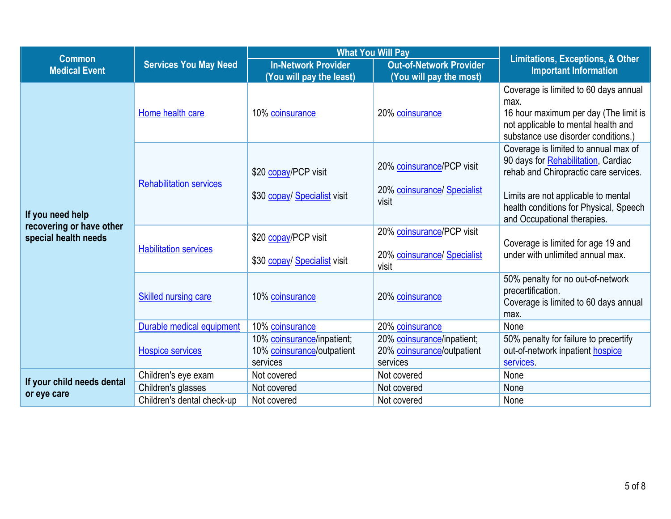|                                                                      | <b>Services You May Need</b>   | <b>What You Will Pay</b>                                             |                                                                      |                                                                                                                                                                      |
|----------------------------------------------------------------------|--------------------------------|----------------------------------------------------------------------|----------------------------------------------------------------------|----------------------------------------------------------------------------------------------------------------------------------------------------------------------|
| <b>Common</b><br><b>Medical Event</b>                                |                                | <b>In-Network Provider</b><br>(You will pay the least)               | <b>Out-of-Network Provider</b><br>(You will pay the most)            | <b>Limitations, Exceptions, &amp; Other</b><br><b>Important Information</b>                                                                                          |
| If you need help<br>recovering or have other<br>special health needs | Home health care               | 10% coinsurance                                                      | 20% coinsurance                                                      | Coverage is limited to 60 days annual<br>max.<br>16 hour maximum per day (The limit is<br>not applicable to mental health and<br>substance use disorder conditions.) |
|                                                                      | <b>Rehabilitation services</b> | \$20 copay/PCP visit                                                 | 20% coinsurance/PCP visit                                            | Coverage is limited to annual max of<br>90 days for Rehabilitation, Cardiac<br>rehab and Chiropractic care services.                                                 |
|                                                                      |                                | \$30 copay/ Specialist visit                                         | 20% coinsurance/ Specialist<br>visit                                 | Limits are not applicable to mental<br>health conditions for Physical, Speech<br>and Occupational therapies.                                                         |
|                                                                      | <b>Habilitation services</b>   | \$20 copay/PCP visit<br>\$30 copay/ Specialist visit                 | 20% coinsurance/PCP visit<br>20% coinsurance/ Specialist<br>visit    | Coverage is limited for age 19 and<br>under with unlimited annual max.                                                                                               |
|                                                                      | <b>Skilled nursing care</b>    | 10% coinsurance                                                      | 20% coinsurance                                                      | 50% penalty for no out-of-network<br>precertification.<br>Coverage is limited to 60 days annual<br>max.                                                              |
|                                                                      | Durable medical equipment      | 10% coinsurance                                                      | 20% coinsurance                                                      | None                                                                                                                                                                 |
|                                                                      | <b>Hospice services</b>        | 10% coinsurance/inpatient;<br>10% coinsurance/outpatient<br>services | 20% coinsurance/inpatient;<br>20% coinsurance/outpatient<br>services | 50% penalty for failure to precertify<br>out-of-network inpatient hospice<br>services.                                                                               |
|                                                                      | Children's eye exam            | Not covered                                                          | Not covered                                                          | None                                                                                                                                                                 |
| If your child needs dental                                           | Children's glasses             | Not covered                                                          | Not covered                                                          | None                                                                                                                                                                 |
| or eye care                                                          | Children's dental check-up     | Not covered                                                          | Not covered                                                          | None                                                                                                                                                                 |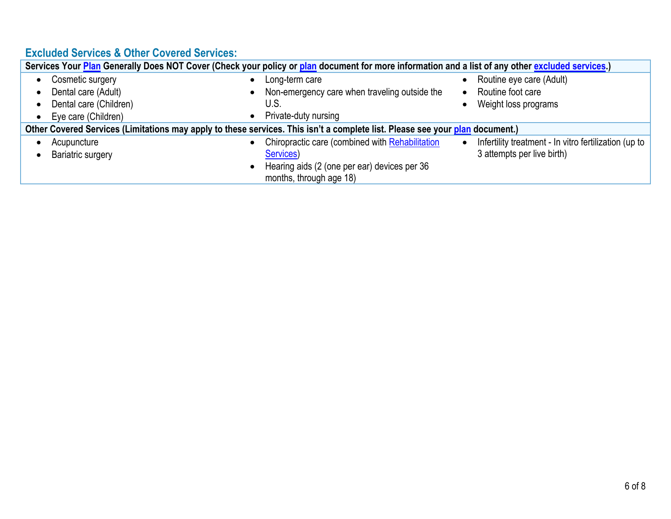# **Excluded Services & Other Covered Services:**

| Services Your Plan Generally Does NOT Cover (Check your policy or plan document for more information and a list of any other excluded services.) |                                                 |                                                       |  |  |
|--------------------------------------------------------------------------------------------------------------------------------------------------|-------------------------------------------------|-------------------------------------------------------|--|--|
| Cosmetic surgery                                                                                                                                 | Long-term care                                  | Routine eye care (Adult)                              |  |  |
| Dental care (Adult)                                                                                                                              | Non-emergency care when traveling outside the   | Routine foot care                                     |  |  |
| Dental care (Children)                                                                                                                           | U.S.                                            | Weight loss programs                                  |  |  |
| Eye care (Children)                                                                                                                              | Private-duty nursing                            |                                                       |  |  |
| Other Covered Services (Limitations may apply to these services. This isn't a complete list. Please see your plan document.)                     |                                                 |                                                       |  |  |
| Acupuncture                                                                                                                                      | Chiropractic care (combined with Rehabilitation | Infertility treatment - In vitro fertilization (up to |  |  |
| <b>Bariatric surgery</b>                                                                                                                         | Services)                                       | 3 attempts per live birth)                            |  |  |
|                                                                                                                                                  | Hearing aids (2 (one per ear) devices per 36    |                                                       |  |  |
|                                                                                                                                                  | months, through age 18)                         |                                                       |  |  |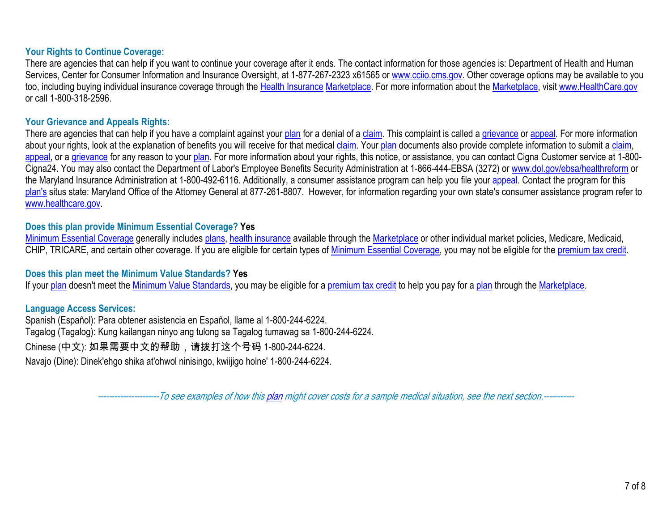#### **Your Rights to Continue Coverage:**

There are agencies that can help if you want to continue your coverage after it ends. The contact information for those agencies is: Department of Health and Human Services, Center for Consumer Information and Insurance Oversight, at 1-877-267-2323 x61565 or [www.cciio.cms.gov.](http://www.cciio.cms.gov/) Other coverage options may be available to you too, including buying individual insurance coverage through the [Health Insurance](https://www.healthcare.gov/sbc-glossary/#health-insurance) [Marketplace](https://www.healthcare.gov/sbc-glossary/#marketplace). For more information about the [Marketplace,](https://www.healthcare.gov/sbc-glossary/#marketplace) visit [www.HealthCare.gov](http://www.healthcare.gov/) or call 1-800-318-2596.

#### **Your Grievance and Appeals Rights:**

There are agencies that can help if you have a complaint against your [plan](https://www.healthcare.gov/sbc-glossary/#plan) for a denial of a [claim](https://www.healthcare.gov/sbc-glossary/#claim). This complaint is called a [grievance](https://www.healthcare.gov/sbc-glossary/#grievance) or [appeal.](https://www.healthcare.gov/sbc-glossary/#appeal) For more information about your rights, look at the explanation of benefits you will receive for that medical [claim](https://www.healthcare.gov/sbc-glossary/#claim). Your [plan](https://www.healthcare.gov/sbc-glossary/#plan) documents also provide complete information to submit a [claim](https://www.healthcare.gov/sbc-glossary/#claim), [appeal](https://www.healthcare.gov/sbc-glossary/#appeal), or a [grievance](https://www.healthcare.gov/sbc-glossary/#grievance) for any reason to your [plan](https://www.healthcare.gov/sbc-glossary/#plan). For more information about your rights, this notice, or assistance, you can contact Cigna Customer service at 1-800-Cigna24. You may also contact the Department of Labor's Employee Benefits Security Administration at 1-866-444-EBSA (3272) or [www.dol.gov/ebsa/healthreform](https://www.dol.gov/agencies/ebsa/laws-and-regulations/laws/affordable-care-act/) or the Maryland Insurance Administration at 1-800-492-6116. Additionally, a consumer assistance program can help you file your [appeal.](https://www.healthcare.gov/sbc-glossary/#appeal) Contact the program for this [plan's](https://www.healthcare.gov/sbc-glossary/#plan) situs state: Maryland Office of the Attorney General at 877-261-8807. However, for information regarding your own state's consumer assistance program refer to [www.healthcare.gov](http://www.healthcare.gov/).

### **Does this plan provide Minimum Essential Coverage? Yes**

[Minimum Essential Coverage](https://www.healthcare.gov/sbc-glossary/#minimum-essential-coverage) generally includes [plans,](https://www.healthcare.gov/sbc-glossary/#plan) [health insurance](https://www.healthcare.gov/sbc-glossary/#health-insurance) available through the [Marketplace](https://www.healthcare.gov/sbc-glossary/#marketplace) or other individual market policies, Medicare, Medicaid, CHIP, TRICARE, and certain other coverage. If you are eligible for certain types of [Minimum Essential Coverage,](https://www.healthcare.gov/sbc-glossary/#minimum-essential-coverage) you may not be eligible for the [premium tax credit](https://www.healthcare.gov/sbc-glossary/#premium-tax-credits).

### **Does this plan meet the Minimum Value Standards? Yes**

If your [plan](https://www.healthcare.gov/sbc-glossary/#plan) doesn't meet the [Minimum Value Standards,](https://www.healthcare.gov/sbc-glossary/#minimum-value-standard) you may be eligible for a [premium tax credit](https://www.healthcare.gov/sbc-glossary/#premium-tax-credits) to help you pay for a [plan](https://www.healthcare.gov/sbc-glossary/#plan) through the [Marketplace.](https://www.healthcare.gov/sbc-glossary/#marketplace)

### **Language Access Services:**

Spanish (Español): Para obtener asistencia en Español, llame al 1-800-244-6224. Tagalog (Tagalog): Kung kailangan ninyo ang tulong sa Tagalog tumawag sa 1-800-244-6224. Chinese (中文): 如果需要中文的帮助,请拨打这个号码 1-800-244-6224. Navajo (Dine): Dinek'ehgo shika at'ohwol ninisingo, kwiijigo holne' 1-800-244-6224.

*----------------------To see examples of how this [plan](https://www.healthcare.gov/sbc-glossary/#plan) might cover costs for a sample medical situation, see the next section.-----------*